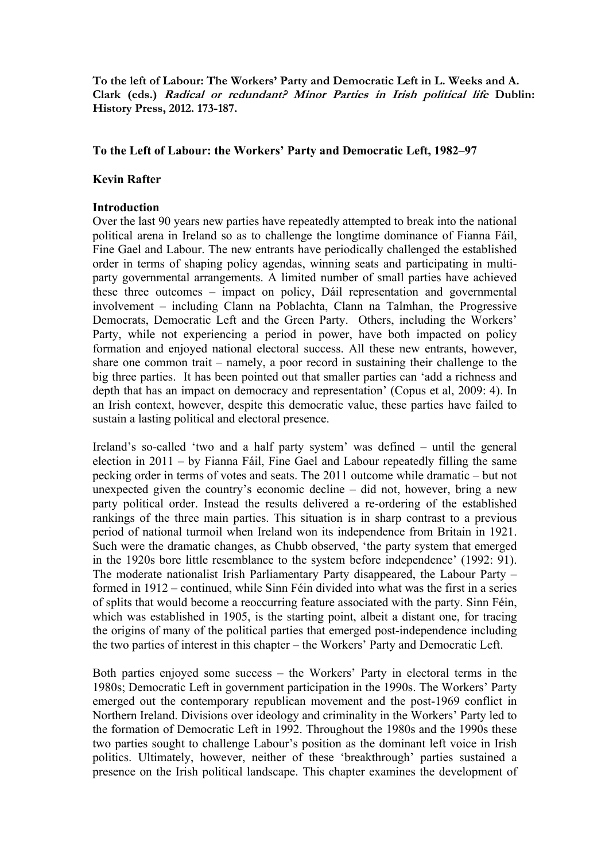**To the left of Labour: The Workers' Party and Democratic Left in L. Weeks and A. Clark (eds.) Radical or redundant? Minor Parties in Irish political life Dublin: History Press, 2012. 173-187.**

# **To the Left of Labour: the Workers' Party and Democratic Left, 1982–97**

#### **Kevin Rafter**

# **Introduction**

Over the last 90 years new parties have repeatedly attempted to break into the national political arena in Ireland so as to challenge the longtime dominance of Fianna Fáil, Fine Gael and Labour. The new entrants have periodically challenged the established order in terms of shaping policy agendas, winning seats and participating in multiparty governmental arrangements. A limited number of small parties have achieved these three outcomes – impact on policy, Dáil representation and governmental involvement – including Clann na Poblachta, Clann na Talmhan, the Progressive Democrats, Democratic Left and the Green Party. Others, including the Workers' Party, while not experiencing a period in power, have both impacted on policy formation and enjoyed national electoral success. All these new entrants, however, share one common trait – namely, a poor record in sustaining their challenge to the big three parties. It has been pointed out that smaller parties can 'add a richness and depth that has an impact on democracy and representation' (Copus et al, 2009: 4). In an Irish context, however, despite this democratic value, these parties have failed to sustain a lasting political and electoral presence.

Ireland's so-called 'two and a half party system' was defined – until the general election in 2011 – by Fianna Fáil, Fine Gael and Labour repeatedly filling the same pecking order in terms of votes and seats. The 2011 outcome while dramatic – but not unexpected given the country's economic decline – did not, however, bring a new party political order. Instead the results delivered a re-ordering of the established rankings of the three main parties. This situation is in sharp contrast to a previous period of national turmoil when Ireland won its independence from Britain in 1921. Such were the dramatic changes, as Chubb observed, 'the party system that emerged in the 1920s bore little resemblance to the system before independence' (1992: 91). The moderate nationalist Irish Parliamentary Party disappeared, the Labour Party – formed in 1912 – continued, while Sinn Féin divided into what was the first in a series of splits that would become a reoccurring feature associated with the party. Sinn Féin, which was established in 1905, is the starting point, albeit a distant one, for tracing the origins of many of the political parties that emerged post-independence including the two parties of interest in this chapter – the Workers' Party and Democratic Left.

Both parties enjoyed some success – the Workers' Party in electoral terms in the 1980s; Democratic Left in government participation in the 1990s. The Workers' Party emerged out the contemporary republican movement and the post-1969 conflict in Northern Ireland. Divisions over ideology and criminality in the Workers' Party led to the formation of Democratic Left in 1992. Throughout the 1980s and the 1990s these two parties sought to challenge Labour's position as the dominant left voice in Irish politics. Ultimately, however, neither of these 'breakthrough' parties sustained a presence on the Irish political landscape. This chapter examines the development of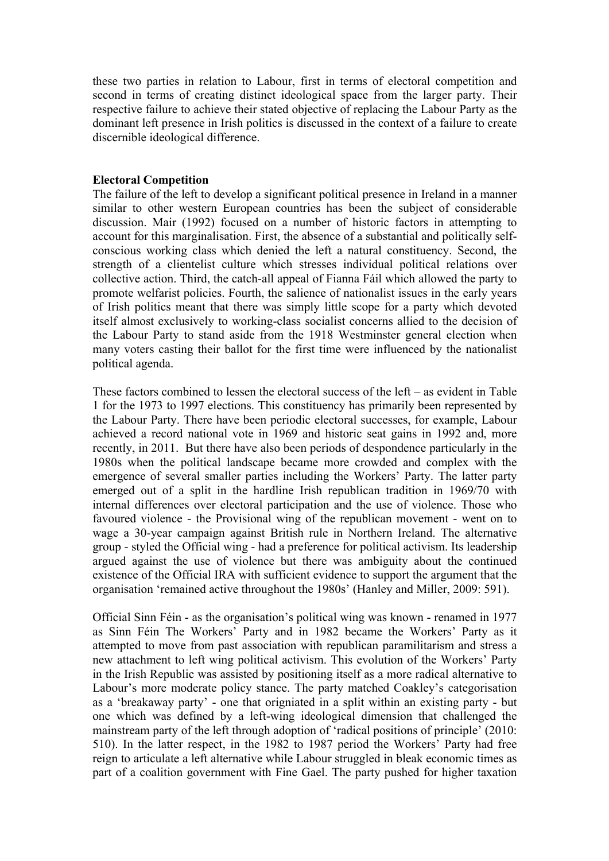these two parties in relation to Labour, first in terms of electoral competition and second in terms of creating distinct ideological space from the larger party. Their respective failure to achieve their stated objective of replacing the Labour Party as the dominant left presence in Irish politics is discussed in the context of a failure to create discernible ideological difference.

### **Electoral Competition**

The failure of the left to develop a significant political presence in Ireland in a manner similar to other western European countries has been the subject of considerable discussion. Mair (1992) focused on a number of historic factors in attempting to account for this marginalisation. First, the absence of a substantial and politically selfconscious working class which denied the left a natural constituency. Second, the strength of a clientelist culture which stresses individual political relations over collective action. Third, the catch-all appeal of Fianna Fáil which allowed the party to promote welfarist policies. Fourth, the salience of nationalist issues in the early years of Irish politics meant that there was simply little scope for a party which devoted itself almost exclusively to working-class socialist concerns allied to the decision of the Labour Party to stand aside from the 1918 Westminster general election when many voters casting their ballot for the first time were influenced by the nationalist political agenda.

These factors combined to lessen the electoral success of the left – as evident in Table 1 for the 1973 to 1997 elections. This constituency has primarily been represented by the Labour Party. There have been periodic electoral successes, for example, Labour achieved a record national vote in 1969 and historic seat gains in 1992 and, more recently, in 2011. But there have also been periods of despondence particularly in the 1980s when the political landscape became more crowded and complex with the emergence of several smaller parties including the Workers' Party. The latter party emerged out of a split in the hardline Irish republican tradition in 1969/70 with internal differences over electoral participation and the use of violence. Those who favoured violence - the Provisional wing of the republican movement - went on to wage a 30-year campaign against British rule in Northern Ireland. The alternative group - styled the Official wing - had a preference for political activism. Its leadership argued against the use of violence but there was ambiguity about the continued existence of the Official IRA with sufficient evidence to support the argument that the organisation 'remained active throughout the 1980s' (Hanley and Miller, 2009: 591).

Official Sinn Féin - as the organisation's political wing was known - renamed in 1977 as Sinn Féin The Workers' Party and in 1982 became the Workers' Party as it attempted to move from past association with republican paramilitarism and stress a new attachment to left wing political activism. This evolution of the Workers' Party in the Irish Republic was assisted by positioning itself as a more radical alternative to Labour's more moderate policy stance. The party matched Coakley's categorisation as a 'breakaway party' - one that origniated in a split within an existing party - but one which was defined by a left-wing ideological dimension that challenged the mainstream party of the left through adoption of 'radical positions of principle' (2010: 510). In the latter respect, in the 1982 to 1987 period the Workers' Party had free reign to articulate a left alternative while Labour struggled in bleak economic times as part of a coalition government with Fine Gael. The party pushed for higher taxation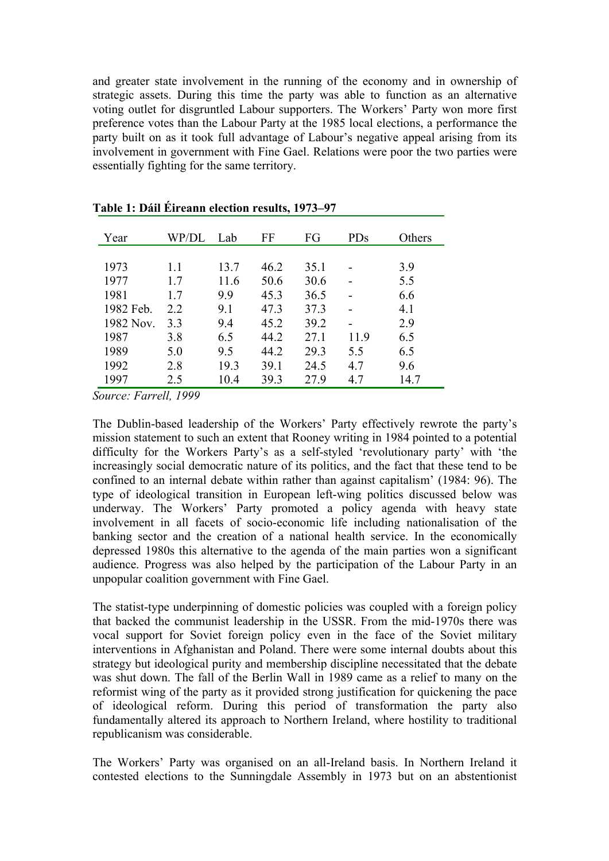and greater state involvement in the running of the economy and in ownership of strategic assets. During this time the party was able to function as an alternative voting outlet for disgruntled Labour supporters. The Workers' Party won more first preference votes than the Labour Party at the 1985 local elections, a performance the party built on as it took full advantage of Labour's negative appeal arising from its involvement in government with Fine Gael. Relations were poor the two parties were essentially fighting for the same territory.

| Year      | WP/DL | Lab  | FF   | FG   | <b>PDs</b> | Others |
|-----------|-------|------|------|------|------------|--------|
|           |       |      |      |      |            |        |
| 1973      | 1.1   | 13.7 | 46.2 | 35.1 |            | 3.9    |
| 1977      | 1.7   | 11.6 | 50.6 | 30.6 |            | 5.5    |
| 1981      | 1.7   | 9.9  | 45.3 | 36.5 |            | 6.6    |
| 1982 Feb. | 2.2   | 9.1  | 47.3 | 37.3 |            | 4.1    |
| 1982 Nov. | 3.3   | 9.4  | 45.2 | 39.2 |            | 2.9    |
| 1987      | 3.8   | 6.5  | 44.2 | 27.1 | 11.9       | 6.5    |
| 1989      | 5.0   | 9.5  | 44.2 | 29.3 | 5.5        | 6.5    |
| 1992      | 2.8   | 19.3 | 39.1 | 24.5 | 4.7        | 9.6    |
| 1997      | 2.5   | 10.4 | 39.3 | 27.9 | 4.7        | 14.7   |

**Table 1: Dáil Éireann election results, 1973–97**

*Source: Farrell, 1999*

The Dublin-based leadership of the Workers' Party effectively rewrote the party's mission statement to such an extent that Rooney writing in 1984 pointed to a potential difficulty for the Workers Party's as a self-styled 'revolutionary party' with 'the increasingly social democratic nature of its politics, and the fact that these tend to be confined to an internal debate within rather than against capitalism' (1984: 96). The type of ideological transition in European left-wing politics discussed below was underway. The Workers' Party promoted a policy agenda with heavy state involvement in all facets of socio-economic life including nationalisation of the banking sector and the creation of a national health service. In the economically depressed 1980s this alternative to the agenda of the main parties won a significant audience. Progress was also helped by the participation of the Labour Party in an unpopular coalition government with Fine Gael.

The statist-type underpinning of domestic policies was coupled with a foreign policy that backed the communist leadership in the USSR. From the mid-1970s there was vocal support for Soviet foreign policy even in the face of the Soviet military interventions in Afghanistan and Poland. There were some internal doubts about this strategy but ideological purity and membership discipline necessitated that the debate was shut down. The fall of the Berlin Wall in 1989 came as a relief to many on the reformist wing of the party as it provided strong justification for quickening the pace of ideological reform. During this period of transformation the party also fundamentally altered its approach to Northern Ireland, where hostility to traditional republicanism was considerable.

The Workers' Party was organised on an all-Ireland basis. In Northern Ireland it contested elections to the Sunningdale Assembly in 1973 but on an abstentionist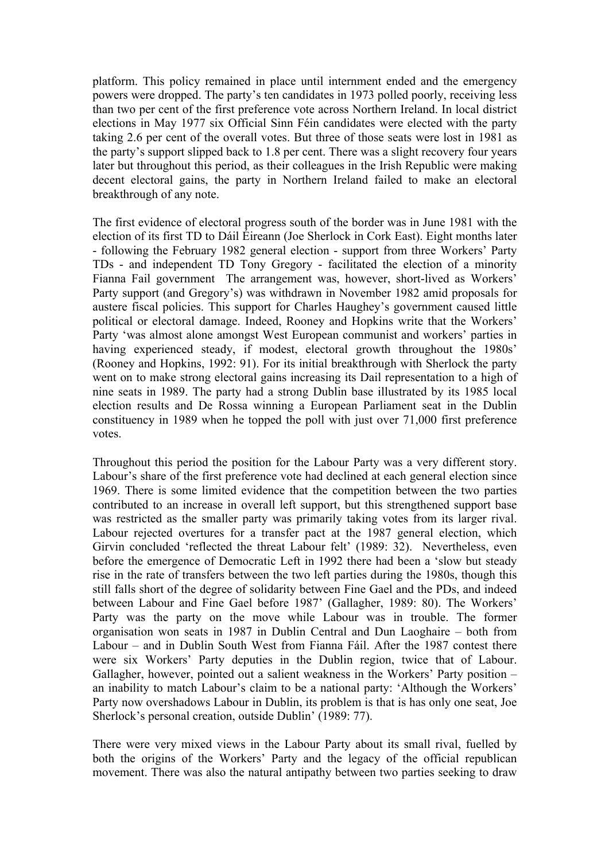platform. This policy remained in place until internment ended and the emergency powers were dropped. The party's ten candidates in 1973 polled poorly, receiving less than two per cent of the first preference vote across Northern Ireland. In local district elections in May 1977 six Official Sinn Féin candidates were elected with the party taking 2.6 per cent of the overall votes. But three of those seats were lost in 1981 as the party's support slipped back to 1.8 per cent. There was a slight recovery four years later but throughout this period, as their colleagues in the Irish Republic were making decent electoral gains, the party in Northern Ireland failed to make an electoral breakthrough of any note.

The first evidence of electoral progress south of the border was in June 1981 with the election of its first TD to Dáil Éireann (Joe Sherlock in Cork East). Eight months later - following the February 1982 general election - support from three Workers' Party TDs - and independent TD Tony Gregory - facilitated the election of a minority Fianna Fail government The arrangement was, however, short-lived as Workers' Party support (and Gregory's) was withdrawn in November 1982 amid proposals for austere fiscal policies. This support for Charles Haughey's government caused little political or electoral damage. Indeed, Rooney and Hopkins write that the Workers' Party 'was almost alone amongst West European communist and workers' parties in having experienced steady, if modest, electoral growth throughout the 1980s' (Rooney and Hopkins, 1992: 91). For its initial breakthrough with Sherlock the party went on to make strong electoral gains increasing its Dail representation to a high of nine seats in 1989. The party had a strong Dublin base illustrated by its 1985 local election results and De Rossa winning a European Parliament seat in the Dublin constituency in 1989 when he topped the poll with just over 71,000 first preference votes.

Throughout this period the position for the Labour Party was a very different story. Labour's share of the first preference vote had declined at each general election since 1969. There is some limited evidence that the competition between the two parties contributed to an increase in overall left support, but this strengthened support base was restricted as the smaller party was primarily taking votes from its larger rival. Labour rejected overtures for a transfer pact at the 1987 general election, which Girvin concluded 'reflected the threat Labour felt' (1989: 32). Nevertheless, even before the emergence of Democratic Left in 1992 there had been a 'slow but steady rise in the rate of transfers between the two left parties during the 1980s, though this still falls short of the degree of solidarity between Fine Gael and the PDs, and indeed between Labour and Fine Gael before 1987' (Gallagher, 1989: 80). The Workers' Party was the party on the move while Labour was in trouble. The former organisation won seats in 1987 in Dublin Central and Dun Laoghaire – both from Labour – and in Dublin South West from Fianna Fáil. After the 1987 contest there were six Workers' Party deputies in the Dublin region, twice that of Labour. Gallagher, however, pointed out a salient weakness in the Workers' Party position – an inability to match Labour's claim to be a national party: 'Although the Workers' Party now overshadows Labour in Dublin, its problem is that is has only one seat, Joe Sherlock's personal creation, outside Dublin' (1989: 77).

There were very mixed views in the Labour Party about its small rival, fuelled by both the origins of the Workers' Party and the legacy of the official republican movement. There was also the natural antipathy between two parties seeking to draw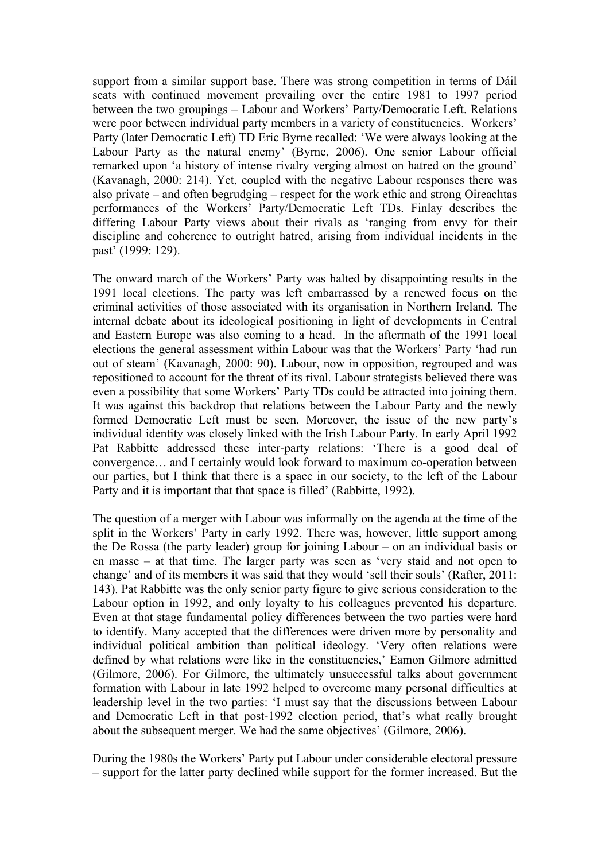support from a similar support base. There was strong competition in terms of Dáil seats with continued movement prevailing over the entire 1981 to 1997 period between the two groupings – Labour and Workers' Party/Democratic Left. Relations were poor between individual party members in a variety of constituencies. Workers' Party (later Democratic Left) TD Eric Byrne recalled: 'We were always looking at the Labour Party as the natural enemy' (Byrne, 2006). One senior Labour official remarked upon 'a history of intense rivalry verging almost on hatred on the ground' (Kavanagh, 2000: 214). Yet, coupled with the negative Labour responses there was also private – and often begrudging – respect for the work ethic and strong Oireachtas performances of the Workers' Party/Democratic Left TDs. Finlay describes the differing Labour Party views about their rivals as 'ranging from envy for their discipline and coherence to outright hatred, arising from individual incidents in the past' (1999: 129).

The onward march of the Workers' Party was halted by disappointing results in the 1991 local elections. The party was left embarrassed by a renewed focus on the criminal activities of those associated with its organisation in Northern Ireland. The internal debate about its ideological positioning in light of developments in Central and Eastern Europe was also coming to a head. In the aftermath of the 1991 local elections the general assessment within Labour was that the Workers' Party 'had run out of steam' (Kavanagh, 2000: 90). Labour, now in opposition, regrouped and was repositioned to account for the threat of its rival. Labour strategists believed there was even a possibility that some Workers' Party TDs could be attracted into joining them. It was against this backdrop that relations between the Labour Party and the newly formed Democratic Left must be seen. Moreover, the issue of the new party's individual identity was closely linked with the Irish Labour Party. In early April 1992 Pat Rabbitte addressed these inter-party relations: 'There is a good deal of convergence… and I certainly would look forward to maximum co-operation between our parties, but I think that there is a space in our society, to the left of the Labour Party and it is important that that space is filled' (Rabbitte, 1992).

The question of a merger with Labour was informally on the agenda at the time of the split in the Workers' Party in early 1992. There was, however, little support among the De Rossa (the party leader) group for joining Labour – on an individual basis or en masse – at that time. The larger party was seen as 'very staid and not open to change' and of its members it was said that they would 'sell their souls' (Rafter, 2011: 143). Pat Rabbitte was the only senior party figure to give serious consideration to the Labour option in 1992, and only loyalty to his colleagues prevented his departure. Even at that stage fundamental policy differences between the two parties were hard to identify. Many accepted that the differences were driven more by personality and individual political ambition than political ideology. 'Very often relations were defined by what relations were like in the constituencies,' Eamon Gilmore admitted (Gilmore, 2006). For Gilmore, the ultimately unsuccessful talks about government formation with Labour in late 1992 helped to overcome many personal difficulties at leadership level in the two parties: 'I must say that the discussions between Labour and Democratic Left in that post-1992 election period, that's what really brought about the subsequent merger. We had the same objectives' (Gilmore, 2006).

During the 1980s the Workers' Party put Labour under considerable electoral pressure – support for the latter party declined while support for the former increased. But the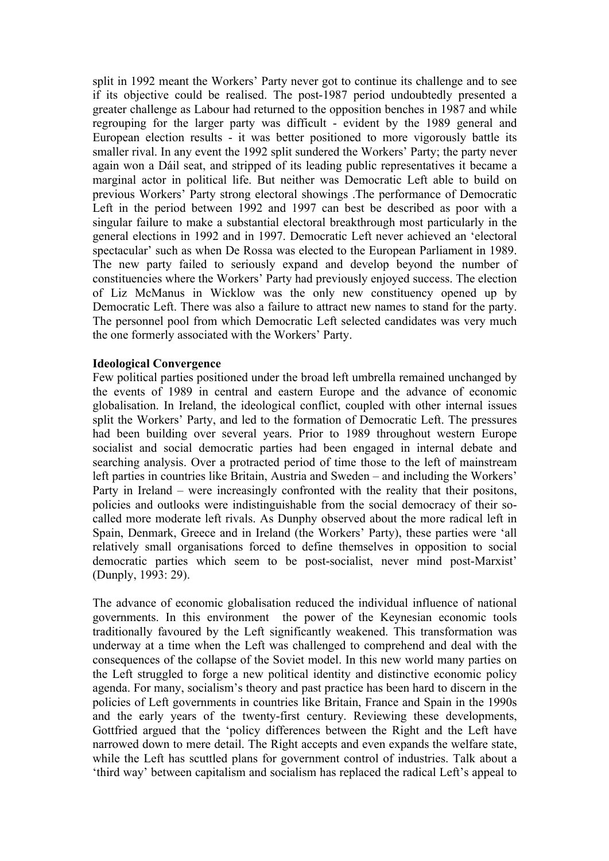split in 1992 meant the Workers' Party never got to continue its challenge and to see if its objective could be realised. The post-1987 period undoubtedly presented a greater challenge as Labour had returned to the opposition benches in 1987 and while regrouping for the larger party was difficult - evident by the 1989 general and European election results - it was better positioned to more vigorously battle its smaller rival. In any event the 1992 split sundered the Workers' Party; the party never again won a Dáil seat, and stripped of its leading public representatives it became a marginal actor in political life. But neither was Democratic Left able to build on previous Workers' Party strong electoral showings .The performance of Democratic Left in the period between 1992 and 1997 can best be described as poor with a singular failure to make a substantial electoral breakthrough most particularly in the general elections in 1992 and in 1997. Democratic Left never achieved an 'electoral spectacular' such as when De Rossa was elected to the European Parliament in 1989. The new party failed to seriously expand and develop beyond the number of constituencies where the Workers' Party had previously enjoyed success. The election of Liz McManus in Wicklow was the only new constituency opened up by Democratic Left. There was also a failure to attract new names to stand for the party. The personnel pool from which Democratic Left selected candidates was very much the one formerly associated with the Workers' Party.

#### **Ideological Convergence**

Few political parties positioned under the broad left umbrella remained unchanged by the events of 1989 in central and eastern Europe and the advance of economic globalisation. In Ireland, the ideological conflict, coupled with other internal issues split the Workers' Party, and led to the formation of Democratic Left. The pressures had been building over several years. Prior to 1989 throughout western Europe socialist and social democratic parties had been engaged in internal debate and searching analysis. Over a protracted period of time those to the left of mainstream left parties in countries like Britain, Austria and Sweden – and including the Workers' Party in Ireland – were increasingly confronted with the reality that their positons, policies and outlooks were indistinguishable from the social democracy of their socalled more moderate left rivals. As Dunphy observed about the more radical left in Spain, Denmark, Greece and in Ireland (the Workers' Party), these parties were 'all relatively small organisations forced to define themselves in opposition to social democratic parties which seem to be post-socialist, never mind post-Marxist' (Dunply, 1993: 29).

The advance of economic globalisation reduced the individual influence of national governments. In this environment the power of the Keynesian economic tools traditionally favoured by the Left significantly weakened. This transformation was underway at a time when the Left was challenged to comprehend and deal with the consequences of the collapse of the Soviet model. In this new world many parties on the Left struggled to forge a new political identity and distinctive economic policy agenda. For many, socialism's theory and past practice has been hard to discern in the policies of Left governments in countries like Britain, France and Spain in the 1990s and the early years of the twenty-first century. Reviewing these developments, Gottfried argued that the 'policy differences between the Right and the Left have narrowed down to mere detail. The Right accepts and even expands the welfare state, while the Left has scuttled plans for government control of industries. Talk about a 'third way' between capitalism and socialism has replaced the radical Left's appeal to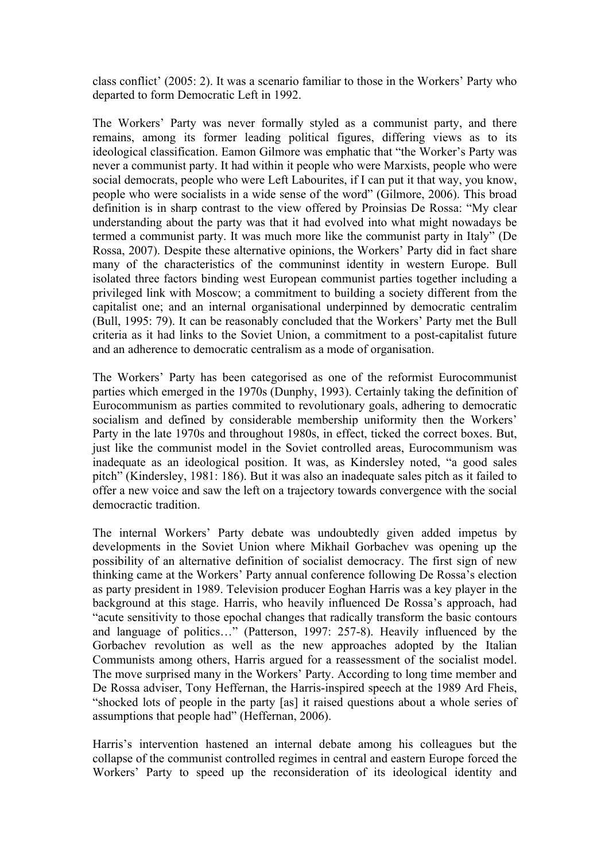class conflict' (2005: 2). It was a scenario familiar to those in the Workers' Party who departed to form Democratic Left in 1992.

The Workers' Party was never formally styled as a communist party, and there remains, among its former leading political figures, differing views as to its ideological classification. Eamon Gilmore was emphatic that "the Worker's Party was never a communist party. It had within it people who were Marxists, people who were social democrats, people who were Left Labourites, if I can put it that way, you know, people who were socialists in a wide sense of the word" (Gilmore, 2006). This broad definition is in sharp contrast to the view offered by Proinsias De Rossa: "My clear understanding about the party was that it had evolved into what might nowadays be termed a communist party. It was much more like the communist party in Italy" (De Rossa, 2007). Despite these alternative opinions, the Workers' Party did in fact share many of the characteristics of the communinst identity in western Europe. Bull isolated three factors binding west European communist parties together including a privileged link with Moscow; a commitment to building a society different from the capitalist one; and an internal organisational underpinned by democratic centralim (Bull, 1995: 79). It can be reasonably concluded that the Workers' Party met the Bull criteria as it had links to the Soviet Union, a commitment to a post-capitalist future and an adherence to democratic centralism as a mode of organisation.

The Workers' Party has been categorised as one of the reformist Eurocommunist parties which emerged in the 1970s (Dunphy, 1993). Certainly taking the definition of Eurocommunism as parties commited to revolutionary goals, adhering to democratic socialism and defined by considerable membership uniformity then the Workers' Party in the late 1970s and throughout 1980s, in effect, ticked the correct boxes. But, just like the communist model in the Soviet controlled areas, Eurocommunism was inadequate as an ideological position. It was, as Kindersley noted, "a good sales pitch" (Kindersley, 1981: 186). But it was also an inadequate sales pitch as it failed to offer a new voice and saw the left on a trajectory towards convergence with the social democractic tradition.

The internal Workers' Party debate was undoubtedly given added impetus by developments in the Soviet Union where Mikhail Gorbachev was opening up the possibility of an alternative definition of socialist democracy. The first sign of new thinking came at the Workers' Party annual conference following De Rossa's election as party president in 1989. Television producer Eoghan Harris was a key player in the background at this stage. Harris, who heavily influenced De Rossa's approach, had "acute sensitivity to those epochal changes that radically transform the basic contours and language of politics…" (Patterson, 1997: 257-8). Heavily influenced by the Gorbachev revolution as well as the new approaches adopted by the Italian Communists among others, Harris argued for a reassessment of the socialist model. The move surprised many in the Workers' Party. According to long time member and De Rossa adviser, Tony Heffernan, the Harris-inspired speech at the 1989 Ard Fheis, "shocked lots of people in the party [as] it raised questions about a whole series of assumptions that people had" (Heffernan, 2006).

Harris's intervention hastened an internal debate among his colleagues but the collapse of the communist controlled regimes in central and eastern Europe forced the Workers' Party to speed up the reconsideration of its ideological identity and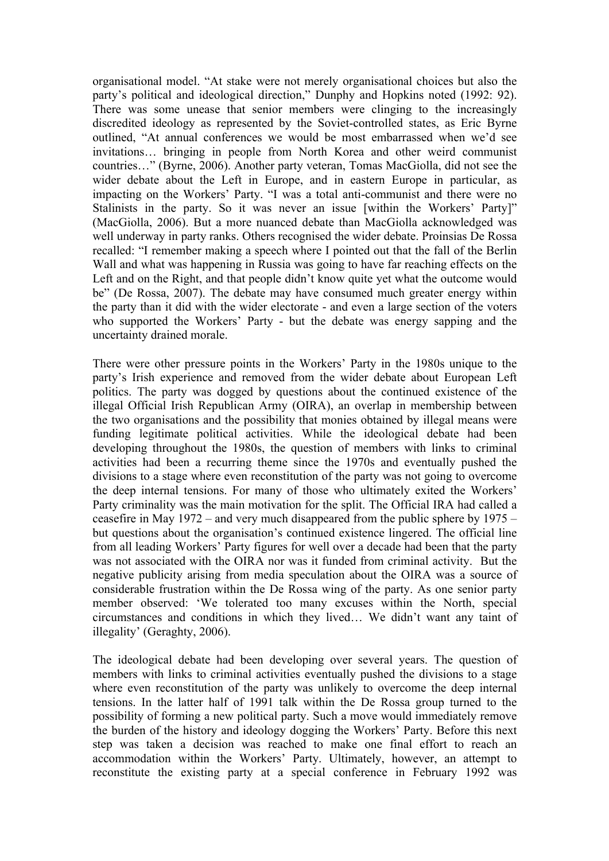organisational model. "At stake were not merely organisational choices but also the party's political and ideological direction," Dunphy and Hopkins noted (1992: 92). There was some unease that senior members were clinging to the increasingly discredited ideology as represented by the Soviet-controlled states, as Eric Byrne outlined, "At annual conferences we would be most embarrassed when we'd see invitations… bringing in people from North Korea and other weird communist countries…" (Byrne, 2006). Another party veteran, Tomas MacGiolla, did not see the wider debate about the Left in Europe, and in eastern Europe in particular, as impacting on the Workers' Party. "I was a total anti-communist and there were no Stalinists in the party. So it was never an issue [within the Workers' Party]" (MacGiolla, 2006). But a more nuanced debate than MacGiolla acknowledged was well underway in party ranks. Others recognised the wider debate. Proinsias De Rossa recalled: "I remember making a speech where I pointed out that the fall of the Berlin Wall and what was happening in Russia was going to have far reaching effects on the Left and on the Right, and that people didn't know quite yet what the outcome would be" (De Rossa, 2007). The debate may have consumed much greater energy within the party than it did with the wider electorate - and even a large section of the voters who supported the Workers' Party - but the debate was energy sapping and the uncertainty drained morale.

There were other pressure points in the Workers' Party in the 1980s unique to the party's Irish experience and removed from the wider debate about European Left politics. The party was dogged by questions about the continued existence of the illegal Official Irish Republican Army (OIRA), an overlap in membership between the two organisations and the possibility that monies obtained by illegal means were funding legitimate political activities. While the ideological debate had been developing throughout the 1980s, the question of members with links to criminal activities had been a recurring theme since the 1970s and eventually pushed the divisions to a stage where even reconstitution of the party was not going to overcome the deep internal tensions. For many of those who ultimately exited the Workers' Party criminality was the main motivation for the split. The Official IRA had called a ceasefire in May 1972 – and very much disappeared from the public sphere by 1975 – but questions about the organisation's continued existence lingered. The official line from all leading Workers' Party figures for well over a decade had been that the party was not associated with the OIRA nor was it funded from criminal activity. But the negative publicity arising from media speculation about the OIRA was a source of considerable frustration within the De Rossa wing of the party. As one senior party member observed: 'We tolerated too many excuses within the North, special circumstances and conditions in which they lived… We didn't want any taint of illegality' (Geraghty, 2006).

The ideological debate had been developing over several years. The question of members with links to criminal activities eventually pushed the divisions to a stage where even reconstitution of the party was unlikely to overcome the deep internal tensions. In the latter half of 1991 talk within the De Rossa group turned to the possibility of forming a new political party. Such a move would immediately remove the burden of the history and ideology dogging the Workers' Party. Before this next step was taken a decision was reached to make one final effort to reach an accommodation within the Workers' Party. Ultimately, however, an attempt to reconstitute the existing party at a special conference in February 1992 was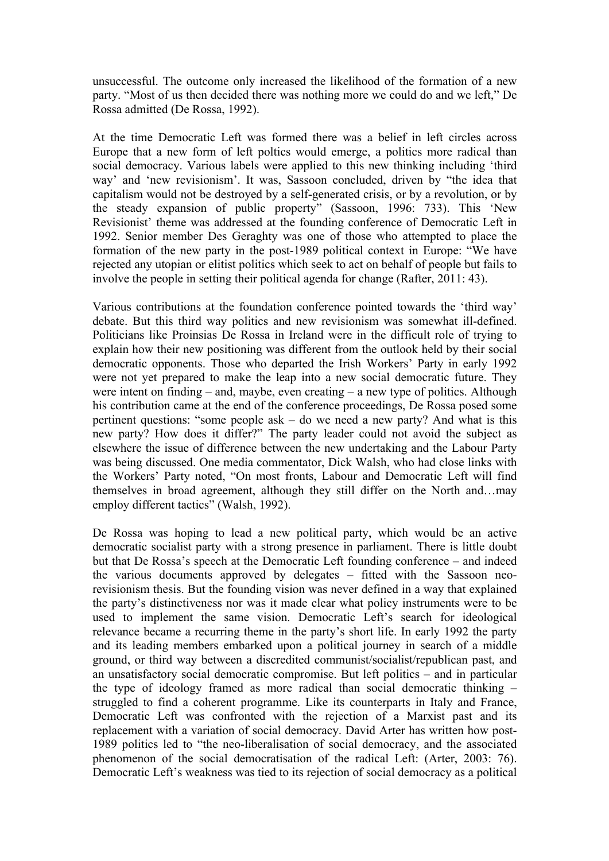unsuccessful. The outcome only increased the likelihood of the formation of a new party. "Most of us then decided there was nothing more we could do and we left," De Rossa admitted (De Rossa, 1992).

At the time Democratic Left was formed there was a belief in left circles across Europe that a new form of left poltics would emerge, a politics more radical than social democracy. Various labels were applied to this new thinking including 'third way' and 'new revisionism'. It was, Sassoon concluded, driven by "the idea that capitalism would not be destroyed by a self-generated crisis, or by a revolution, or by the steady expansion of public property" (Sassoon, 1996: 733). This 'New Revisionist' theme was addressed at the founding conference of Democratic Left in 1992. Senior member Des Geraghty was one of those who attempted to place the formation of the new party in the post-1989 political context in Europe: "We have rejected any utopian or elitist politics which seek to act on behalf of people but fails to involve the people in setting their political agenda for change (Rafter, 2011: 43).

Various contributions at the foundation conference pointed towards the 'third way' debate. But this third way politics and new revisionism was somewhat ill-defined. Politicians like Proinsias De Rossa in Ireland were in the difficult role of trying to explain how their new positioning was different from the outlook held by their social democratic opponents. Those who departed the Irish Workers' Party in early 1992 were not yet prepared to make the leap into a new social democratic future. They were intent on finding – and, maybe, even creating – a new type of politics. Although his contribution came at the end of the conference proceedings, De Rossa posed some pertinent questions: "some people ask – do we need a new party? And what is this new party? How does it differ?" The party leader could not avoid the subject as elsewhere the issue of difference between the new undertaking and the Labour Party was being discussed. One media commentator, Dick Walsh, who had close links with the Workers' Party noted, "On most fronts, Labour and Democratic Left will find themselves in broad agreement, although they still differ on the North and…may employ different tactics" (Walsh, 1992).

De Rossa was hoping to lead a new political party, which would be an active democratic socialist party with a strong presence in parliament. There is little doubt but that De Rossa's speech at the Democratic Left founding conference – and indeed the various documents approved by delegates – fitted with the Sassoon neorevisionism thesis. But the founding vision was never defined in a way that explained the party's distinctiveness nor was it made clear what policy instruments were to be used to implement the same vision. Democratic Left's search for ideological relevance became a recurring theme in the party's short life. In early 1992 the party and its leading members embarked upon a political journey in search of a middle ground, or third way between a discredited communist/socialist/republican past, and an unsatisfactory social democratic compromise. But left politics – and in particular the type of ideology framed as more radical than social democratic thinking – struggled to find a coherent programme. Like its counterparts in Italy and France, Democratic Left was confronted with the rejection of a Marxist past and its replacement with a variation of social democracy. David Arter has written how post-1989 politics led to "the neo-liberalisation of social democracy, and the associated phenomenon of the social democratisation of the radical Left: (Arter, 2003: 76). Democratic Left's weakness was tied to its rejection of social democracy as a political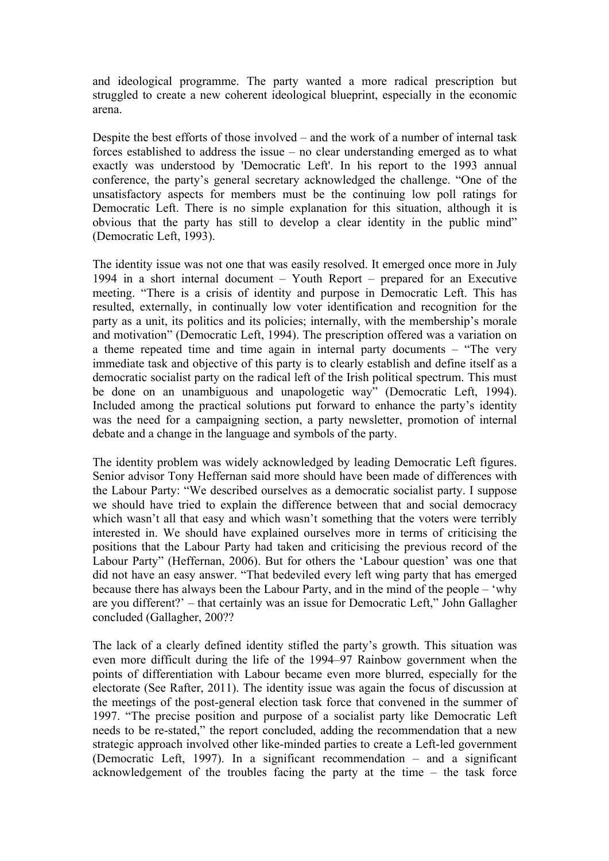and ideological programme. The party wanted a more radical prescription but struggled to create a new coherent ideological blueprint, especially in the economic arena.

Despite the best efforts of those involved – and the work of a number of internal task forces established to address the issue – no clear understanding emerged as to what exactly was understood by 'Democratic Left'. In his report to the 1993 annual conference, the party's general secretary acknowledged the challenge. "One of the unsatisfactory aspects for members must be the continuing low poll ratings for Democratic Left. There is no simple explanation for this situation, although it is obvious that the party has still to develop a clear identity in the public mind" (Democratic Left, 1993).

The identity issue was not one that was easily resolved. It emerged once more in July 1994 in a short internal document – Youth Report – prepared for an Executive meeting. "There is a crisis of identity and purpose in Democratic Left. This has resulted, externally, in continually low voter identification and recognition for the party as a unit, its politics and its policies; internally, with the membership's morale and motivation" (Democratic Left, 1994). The prescription offered was a variation on a theme repeated time and time again in internal party documents – "The very immediate task and objective of this party is to clearly establish and define itself as a democratic socialist party on the radical left of the Irish political spectrum. This must be done on an unambiguous and unapologetic way" (Democratic Left, 1994). Included among the practical solutions put forward to enhance the party's identity was the need for a campaigning section, a party newsletter, promotion of internal debate and a change in the language and symbols of the party.

The identity problem was widely acknowledged by leading Democratic Left figures. Senior advisor Tony Heffernan said more should have been made of differences with the Labour Party: "We described ourselves as a democratic socialist party. I suppose we should have tried to explain the difference between that and social democracy which wasn't all that easy and which wasn't something that the voters were terribly interested in. We should have explained ourselves more in terms of criticising the positions that the Labour Party had taken and criticising the previous record of the Labour Party" (Heffernan, 2006). But for others the 'Labour question' was one that did not have an easy answer. "That bedeviled every left wing party that has emerged because there has always been the Labour Party, and in the mind of the people – 'why are you different?' – that certainly was an issue for Democratic Left," John Gallagher concluded (Gallagher, 200??

The lack of a clearly defined identity stifled the party's growth. This situation was even more difficult during the life of the 1994–97 Rainbow government when the points of differentiation with Labour became even more blurred, especially for the electorate (See Rafter, 2011). The identity issue was again the focus of discussion at the meetings of the post-general election task force that convened in the summer of 1997. "The precise position and purpose of a socialist party like Democratic Left needs to be re-stated," the report concluded, adding the recommendation that a new strategic approach involved other like-minded parties to create a Left-led government (Democratic Left, 1997). In a significant recommendation – and a significant acknowledgement of the troubles facing the party at the time – the task force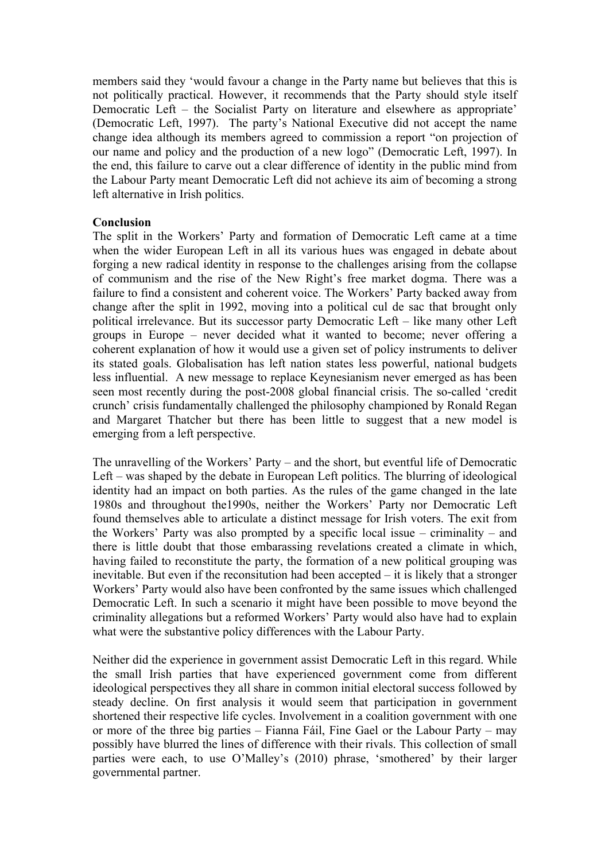members said they 'would favour a change in the Party name but believes that this is not politically practical. However, it recommends that the Party should style itself Democratic Left – the Socialist Party on literature and elsewhere as appropriate' (Democratic Left, 1997). The party's National Executive did not accept the name change idea although its members agreed to commission a report "on projection of our name and policy and the production of a new logo" (Democratic Left, 1997). In the end, this failure to carve out a clear difference of identity in the public mind from the Labour Party meant Democratic Left did not achieve its aim of becoming a strong left alternative in Irish politics.

# **Conclusion**

The split in the Workers' Party and formation of Democratic Left came at a time when the wider European Left in all its various hues was engaged in debate about forging a new radical identity in response to the challenges arising from the collapse of communism and the rise of the New Right's free market dogma. There was a failure to find a consistent and coherent voice. The Workers' Party backed away from change after the split in 1992, moving into a political cul de sac that brought only political irrelevance. But its successor party Democratic Left – like many other Left groups in Europe – never decided what it wanted to become; never offering a coherent explanation of how it would use a given set of policy instruments to deliver its stated goals. Globalisation has left nation states less powerful, national budgets less influential. A new message to replace Keynesianism never emerged as has been seen most recently during the post-2008 global financial crisis. The so-called 'credit crunch' crisis fundamentally challenged the philosophy championed by Ronald Regan and Margaret Thatcher but there has been little to suggest that a new model is emerging from a left perspective.

The unravelling of the Workers' Party – and the short, but eventful life of Democratic Left – was shaped by the debate in European Left politics. The blurring of ideological identity had an impact on both parties. As the rules of the game changed in the late 1980s and throughout the1990s, neither the Workers' Party nor Democratic Left found themselves able to articulate a distinct message for Irish voters. The exit from the Workers' Party was also prompted by a specific local issue – criminality – and there is little doubt that those embarassing revelations created a climate in which, having failed to reconstitute the party, the formation of a new political grouping was inevitable. But even if the reconsitution had been accepted – it is likely that a stronger Workers' Party would also have been confronted by the same issues which challenged Democratic Left. In such a scenario it might have been possible to move beyond the criminality allegations but a reformed Workers' Party would also have had to explain what were the substantive policy differences with the Labour Party.

Neither did the experience in government assist Democratic Left in this regard. While the small Irish parties that have experienced government come from different ideological perspectives they all share in common initial electoral success followed by steady decline. On first analysis it would seem that participation in government shortened their respective life cycles. Involvement in a coalition government with one or more of the three big parties – Fianna Fáil, Fine Gael or the Labour Party – may possibly have blurred the lines of difference with their rivals. This collection of small parties were each, to use O'Malley's (2010) phrase, 'smothered' by their larger governmental partner.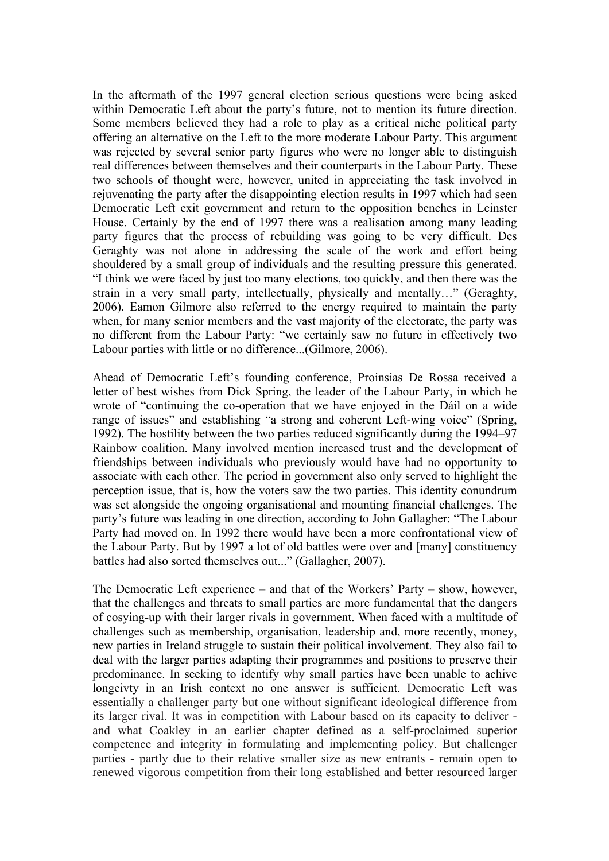In the aftermath of the 1997 general election serious questions were being asked within Democratic Left about the party's future, not to mention its future direction. Some members believed they had a role to play as a critical niche political party offering an alternative on the Left to the more moderate Labour Party. This argument was rejected by several senior party figures who were no longer able to distinguish real differences between themselves and their counterparts in the Labour Party. These two schools of thought were, however, united in appreciating the task involved in rejuvenating the party after the disappointing election results in 1997 which had seen Democratic Left exit government and return to the opposition benches in Leinster House. Certainly by the end of 1997 there was a realisation among many leading party figures that the process of rebuilding was going to be very difficult. Des Geraghty was not alone in addressing the scale of the work and effort being shouldered by a small group of individuals and the resulting pressure this generated. "I think we were faced by just too many elections, too quickly, and then there was the strain in a very small party, intellectually, physically and mentally…" (Geraghty, 2006). Eamon Gilmore also referred to the energy required to maintain the party when, for many senior members and the vast majority of the electorate, the party was no different from the Labour Party: "we certainly saw no future in effectively two Labour parties with little or no difference...(Gilmore, 2006).

Ahead of Democratic Left's founding conference, Proinsias De Rossa received a letter of best wishes from Dick Spring, the leader of the Labour Party, in which he wrote of "continuing the co-operation that we have enjoyed in the Dáil on a wide range of issues" and establishing "a strong and coherent Left-wing voice" (Spring, 1992). The hostility between the two parties reduced significantly during the 1994–97 Rainbow coalition. Many involved mention increased trust and the development of friendships between individuals who previously would have had no opportunity to associate with each other. The period in government also only served to highlight the perception issue, that is, how the voters saw the two parties. This identity conundrum was set alongside the ongoing organisational and mounting financial challenges. The party's future was leading in one direction, according to John Gallagher: "The Labour Party had moved on. In 1992 there would have been a more confrontational view of the Labour Party. But by 1997 a lot of old battles were over and [many] constituency battles had also sorted themselves out..." (Gallagher, 2007).

The Democratic Left experience – and that of the Workers' Party – show, however, that the challenges and threats to small parties are more fundamental that the dangers of cosying-up with their larger rivals in government. When faced with a multitude of challenges such as membership, organisation, leadership and, more recently, money, new parties in Ireland struggle to sustain their political involvement. They also fail to deal with the larger parties adapting their programmes and positions to preserve their predominance. In seeking to identify why small parties have been unable to achive longeivty in an Irish context no one answer is sufficient. Democratic Left was essentially a challenger party but one without significant ideological difference from its larger rival. It was in competition with Labour based on its capacity to deliver and what Coakley in an earlier chapter defined as a self-proclaimed superior competence and integrity in formulating and implementing policy. But challenger parties - partly due to their relative smaller size as new entrants - remain open to renewed vigorous competition from their long established and better resourced larger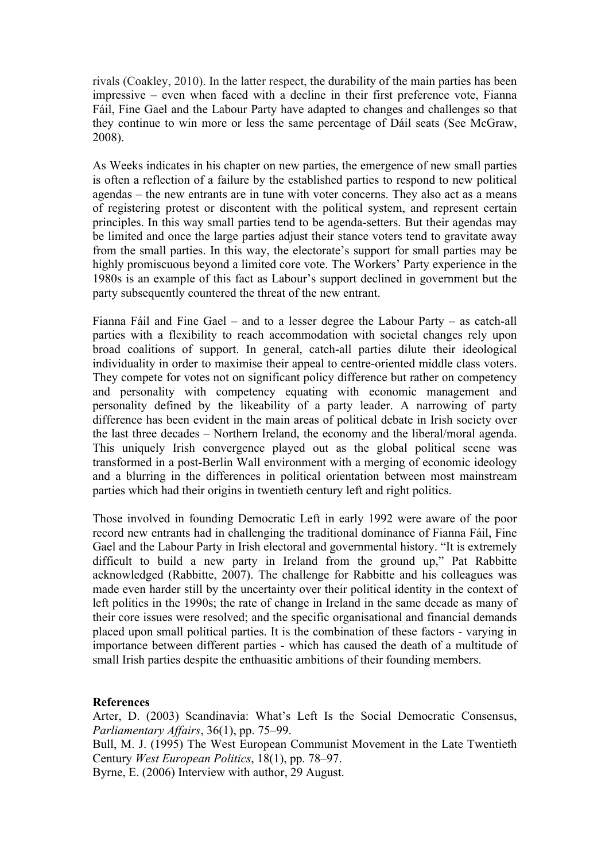rivals (Coakley, 2010). In the latter respect, the durability of the main parties has been impressive – even when faced with a decline in their first preference vote, Fianna Fáil, Fine Gael and the Labour Party have adapted to changes and challenges so that they continue to win more or less the same percentage of Dáil seats (See McGraw, 2008).

As Weeks indicates in his chapter on new parties, the emergence of new small parties is often a reflection of a failure by the established parties to respond to new political agendas – the new entrants are in tune with voter concerns. They also act as a means of registering protest or discontent with the political system, and represent certain principles. In this way small parties tend to be agenda-setters. But their agendas may be limited and once the large parties adjust their stance voters tend to gravitate away from the small parties. In this way, the electorate's support for small parties may be highly promiscuous beyond a limited core vote. The Workers' Party experience in the 1980s is an example of this fact as Labour's support declined in government but the party subsequently countered the threat of the new entrant.

Fianna Fáil and Fine Gael – and to a lesser degree the Labour Party – as catch-all parties with a flexibility to reach accommodation with societal changes rely upon broad coalitions of support. In general, catch-all parties dilute their ideological individuality in order to maximise their appeal to centre-oriented middle class voters. They compete for votes not on significant policy difference but rather on competency and personality with competency equating with economic management and personality defined by the likeability of a party leader. A narrowing of party difference has been evident in the main areas of political debate in Irish society over the last three decades – Northern Ireland, the economy and the liberal/moral agenda. This uniquely Irish convergence played out as the global political scene was transformed in a post-Berlin Wall environment with a merging of economic ideology and a blurring in the differences in political orientation between most mainstream parties which had their origins in twentieth century left and right politics.

Those involved in founding Democratic Left in early 1992 were aware of the poor record new entrants had in challenging the traditional dominance of Fianna Fáil, Fine Gael and the Labour Party in Irish electoral and governmental history. "It is extremely difficult to build a new party in Ireland from the ground up," Pat Rabbitte acknowledged (Rabbitte, 2007). The challenge for Rabbitte and his colleagues was made even harder still by the uncertainty over their political identity in the context of left politics in the 1990s; the rate of change in Ireland in the same decade as many of their core issues were resolved; and the specific organisational and financial demands placed upon small political parties. It is the combination of these factors - varying in importance between different parties - which has caused the death of a multitude of small Irish parties despite the enthuasitic ambitions of their founding members.

#### **References**

Arter, D. (2003) Scandinavia: What's Left Is the Social Democratic Consensus, *Parliamentary Affairs*, 36(1), pp. 75–99.

Bull, M. J. (1995) The West European Communist Movement in the Late Twentieth Century *West European Politics*, 18(1), pp. 78–97.

Byrne, E. (2006) Interview with author, 29 August.